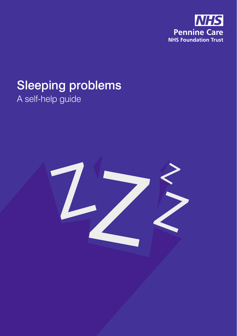

# Sleeping problems A self-help guide

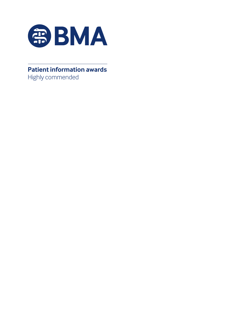

#### **Patient information awards** Highly commended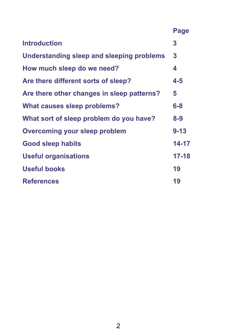## **Page**

| <b>Introduction</b>                        | 3         |
|--------------------------------------------|-----------|
| Understanding sleep and sleeping problems  | 3         |
| How much sleep do we need?                 | 4         |
| Are there different sorts of sleep?        | $4 - 5$   |
| Are there other changes in sleep patterns? | 5         |
| <b>What causes sleep problems?</b>         | $6-8$     |
| What sort of sleep problem do you have?    | $8 - 9$   |
| <b>Overcoming your sleep problem</b>       | $9 - 13$  |
| <b>Good sleep habits</b>                   | 14-17     |
| <b>Useful organisations</b>                | $17 - 18$ |
| <b>Useful books</b>                        | 19        |
| <b>References</b>                          | 19        |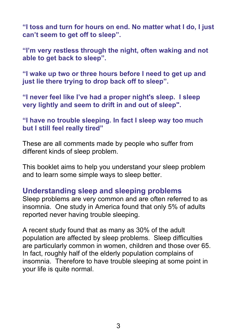**"I toss and turn for hours on end. No matter what I do, I just can't seem to get off to sleep".** 

**"I'm very restless through the night, often waking and not able to get back to sleep".** 

**"I wake up two or three hours before I need to get up and just lie there trying to drop back off to sleep".** 

**"I never feel like I've had a proper night's sleep. I sleep very lightly and seem to drift in and out of sleep".** 

**"I have no trouble sleeping. In fact I sleep way too much but I still feel really tired"** 

These are all comments made by people who suffer from different kinds of sleep problem.

This booklet aims to help you understand your sleep problem and to learn some simple ways to sleep better.

#### **Understanding sleep and sleeping problems**

Sleep problems are very common and are often referred to as insomnia. One study in America found that only 5% of adults reported never having trouble sleeping.

A recent study found that as many as 30% of the adult population are affected by sleep problems. Sleep difficulties are particularly common in women, children and those over 65. In fact, roughly half of the elderly population complains of insomnia. Therefore to have trouble sleeping at some point in your life is quite normal.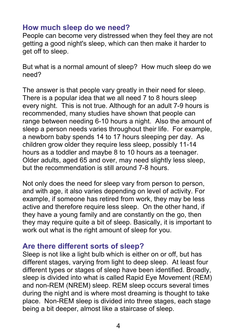#### **How much sleep do we need?**

People can become very distressed when they feel they are not getting a good night's sleep, which can then make it harder to get off to sleep.

But what is a normal amount of sleep? How much sleep do we need?

The answer is that people vary greatly in their need for sleep. There is a popular idea that we all need 7 to 8 hours sleep every night. This is not true. Although for an adult 7-9 hours is recommended, many studies have shown that people can range between needing 6-10 hours a night. Also the amount of sleep a person needs varies throughout their life. For example, a newborn baby spends 14 to 17 hours sleeping per day. As children grow older they require less sleep, possibly 11-14 hours as a toddler and maybe 8 to 10 hours as a teenager. Older adults, aged 65 and over, may need slightly less sleep, but the recommendation is still around 7-8 hours.

Not only does the need for sleep vary from person to person, and with age, it also varies depending on level of activity. For example, if someone has retired from work, they may be less active and therefore require less sleep. On the other hand, if they have a young family and are constantly on the go, then they may require quite a bit of sleep. Basically, it is important to work out what is the right amount of sleep for you.

#### **Are there different sorts of sleep?**

Sleep is not like a light bulb which is either on or off, but has different stages, varying from light to deep sleep. At least four different types or stages of sleep have been identified. Broadly, sleep is divided into what is called Rapid Eye Movement (REM) and non-REM (NREM) sleep. REM sleep occurs several times during the night and is where most dreaming is thought to take place. Non-REM sleep is divided into three stages, each stage being a bit deeper, almost like a staircase of sleep.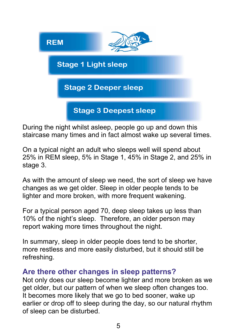

During the night whilst asleep, people go up and down this staircase many times and in fact almost wake up several times.

On a typical night an adult who sleeps well will spend about 25% in REM sleep, 5% in Stage 1, 45% in Stage 2, and 25% in stage 3.

As with the amount of sleep we need, the sort of sleep we have changes as we get older. Sleep in older people tends to be lighter and more broken, with more frequent wakening.

For a typical person aged 70, deep sleep takes up less than 10% of the night's sleep. Therefore, an older person may report waking more times throughout the night.

In summary, sleep in older people does tend to be shorter, more restless and more easily disturbed, but it should still be refreshing.

#### **Are there other changes in sleep patterns?**

Not only does our sleep become lighter and more broken as we get older, but our pattern of when we sleep often changes too. It becomes more likely that we go to bed sooner, wake up earlier or drop off to sleep during the day, so our natural rhythm of sleep can be disturbed.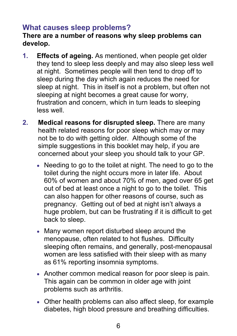### **What causes sleep problems?**

#### **There are a number of reasons why sleep problems can develop.**

- **1. Effects of ageing.** As mentioned, when people get older they tend to sleep less deeply and may also sleep less well at night. Sometimes people will then tend to drop off to sleep during the day which again reduces the need for sleep at night. This in itself is not a problem, but often not sleeping at night becomes a great cause for worry, frustration and concern, which in turn leads to sleeping less well.
- **2. Medical reasons for disrupted sleep.** There are many health related reasons for poor sleep which may or may not be to do with getting older. Although some of the simple suggestions in this booklet may help, if you are concerned about your sleep you should talk to your GP.
	- Needing to go to the toilet at night. The need to go to the toilet during the night occurs more in later life. About 60% of women and about 70% of men, aged over 65 get out of bed at least once a night to go to the toilet. This can also happen for other reasons of course, such as pregnancy. Getting out of bed at night isn't always a huge problem, but can be frustrating if it is difficult to get back to sleep.
	- Many women report disturbed sleep around the menopause, often related to hot flushes. Difficulty sleeping often remains, and generally, post-menopausal women are less satisfied with their sleep with as many as 61% reporting insomnia symptoms.
	- Another common medical reason for poor sleep is pain. This again can be common in older age with joint problems such as arthritis.
	- Other health problems can also affect sleep, for example diabetes, high blood pressure and breathing difficulties.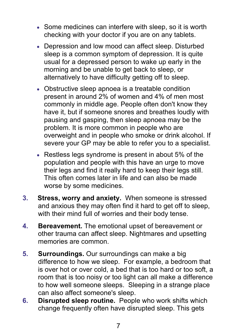- Some medicines can interfere with sleep, so it is worth checking with your doctor if you are on any tablets.
- Depression and low mood can affect sleep. Disturbed sleep is a common symptom of depression. It is quite usual for a depressed person to wake up early in the morning and be unable to get back to sleep, or alternatively to have difficulty getting off to sleep.
- Obstructive sleep apnoea is a treatable condition present in around 2% of women and 4% of men most commonly in middle age. People often don't know they have it, but if someone snores and breathes loudly with pausing and gasping, then sleep apnoea may be the problem. It is more common in people who are overweight and in people who smoke or drink alcohol. If severe your GP may be able to refer you to a specialist.
- Restless legs syndrome is present in about 5% of the population and people with this have an urge to move their legs and find it really hard to keep their legs still. This often comes later in life and can also be made worse by some medicines.
- **3. Stress, worry and anxiety.** When someone is stressed and anxious they may often find it hard to get off to sleep, with their mind full of worries and their body tense.
- **4. Bereavement.** The emotional upset of bereavement or other trauma can affect sleep. Nightmares and upsetting memories are common.
- **5. Surroundings.** Our surroundings can make a big difference to how we sleep. For example, a bedroom that is over hot or over cold, a bed that is too hard or too soft, a room that is too noisy or too light can all make a difference to how well someone sleeps. Sleeping in a strange place can also affect someone's sleep.
- **6. Disrupted sleep routine.** People who work shifts which change frequently often have disrupted sleep. This gets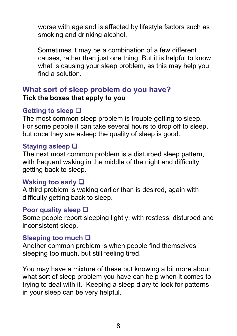worse with age and is affected by lifestyle factors such as smoking and drinking alcohol.

 Sometimes it may be a combination of a few different causes, rather than just one thing. But it is helpful to know what is causing your sleep problem, as this may help you find a solution.

#### **What sort of sleep problem do you have? Tick the boxes that apply to you**

#### **Getting to sleep**

The most common sleep problem is trouble getting to sleep. For some people it can take several hours to drop off to sleep, but once they are asleep the quality of sleep is good.

#### **Staying asleep**

The next most common problem is a disturbed sleep pattern, with frequent waking in the middle of the night and difficulty getting back to sleep.

#### **Waking too early**

A third problem is waking earlier than is desired, again with difficulty getting back to sleep.

#### **Poor quality sleep**

Some people report sleeping lightly, with restless, disturbed and inconsistent sleep.

#### **Sleeping too much**

Another common problem is when people find themselves sleeping too much, but still feeling tired.

You may have a mixture of these but knowing a bit more about what sort of sleep problem you have can help when it comes to trying to deal with it. Keeping a sleep diary to look for patterns in your sleep can be very helpful.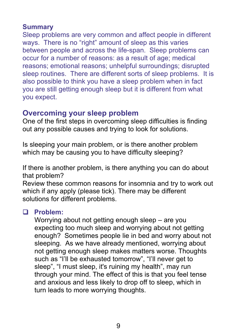#### **Summary**

Sleep problems are very common and affect people in different ways. There is no "right" amount of sleep as this varies between people and across the life-span. Sleep problems can occur for a number of reasons: as a result of age; medical reasons; emotional reasons; unhelpful surroundings; disrupted sleep routines. There are different sorts of sleep problems. It is also possible to think you have a sleep problem when in fact you are still getting enough sleep but it is different from what you expect.

#### **Overcoming your sleep problem**

One of the first steps in overcoming sleep difficulties is finding out any possible causes and trying to look for solutions.

Is sleeping your main problem, or is there another problem which may be causing you to have difficulty sleeping?

If there is another problem, is there anything you can do about that problem?

Review these common reasons for insomnia and try to work out which if any apply (please tick). There may be different solutions for different problems.

#### **Problem:**

Worrying about not getting enough sleep – are you expecting too much sleep and worrying about not getting enough? Sometimes people lie in bed and worry about not sleeping. As we have already mentioned, worrying about not getting enough sleep makes matters worse. Thoughts such as "I'll be exhausted tomorrow", "I'll never get to sleep", "I must sleep, it's ruining my health", may run through your mind. The effect of this is that you feel tense and anxious and less likely to drop off to sleep, which in turn leads to more worrying thoughts.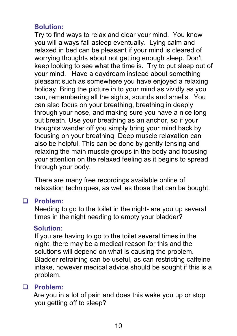#### **Solution:**

Try to find ways to relax and clear your mind. You know you will always fall asleep eventually. Lying calm and relaxed in bed can be pleasant if your mind is cleared of worrying thoughts about not getting enough sleep. Don't keep looking to see what the time is. Try to put sleep out of your mind. Have a daydream instead about something pleasant such as somewhere you have enjoyed a relaxing holiday. Bring the picture in to your mind as vividly as you can, remembering all the sights, sounds and smells. You can also focus on your breathing, breathing in deeply through your nose, and making sure you have a nice long out breath. Use your breathing as an anchor, so if your thoughts wander off you simply bring your mind back by focusing on your breathing. Deep muscle relaxation can also be helpful. This can be done by gently tensing and relaxing the main muscle groups in the body and focusing your attention on the relaxed feeling as it begins to spread through your body.

There are many free recordings available online of relaxation techniques, as well as those that can be bought.

#### **Problem:**

Needing to go to the toilet in the night- are you up several times in the night needing to empty your bladder?

#### **Solution:**

 If you are having to go to the toilet several times in the night, there may be a medical reason for this and the solutions will depend on what is causing the problem. Bladder retraining can be useful, as can restricting caffeine intake, however medical advice should be sought if this is a problem.

#### **Problem:**

Are you in a lot of pain and does this wake you up or stop you getting off to sleep?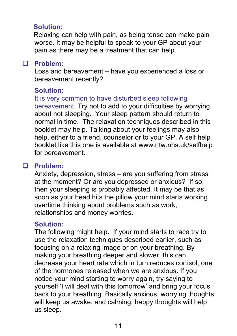#### **Solution:**

Relaxing can help with pain, as being tense can make pain worse. It may be helpful to speak to your GP about your pain as there may be a treatment that can help.

#### **Problem:**

Loss and bereavement – have you experienced a loss or bereavement recently?

#### **Solution:**

It is very common to have disturbed sleep following bereavement. Try not to add to your difficulties by worrying about not sleeping. Your sleep pattern should return to normal in time. The relaxation techniques described in this booklet may help. Talking about your feelings may also help, either to a friend, counselor or to your GP. A self help booklet like this one is available at www.ntw.nhs.uk/selfhelp for bereavement.

### **Problem:**

Anxiety, depression, stress – are you suffering from stress at the moment? Or are you depressed or anxious? If so, then your sleeping is probably affected. It may be that as soon as your head hits the pillow your mind starts working overtime thinking about problems such as work, relationships and money worries.

#### **Solution:**

The following might help. If your mind starts to race try to use the relaxation techniques described earlier, such as focusing on a relaxing image or on your breathing. By making your breathing deeper and slower, this can decrease your heart rate which in turn reduces cortisol, one of the hormones released when we are anxious. If you notice your mind starting to worry again, try saying to yourself 'I will deal with this tomorrow' and bring your focus back to your breathing. Basically anxious, worrying thoughts will keep us awake, and calming, happy thoughts will help us sleep.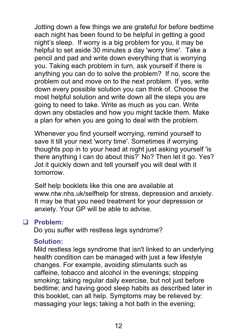Jotting down a few things we are grateful for before bedtime each night has been found to be helpful in getting a good night's sleep. If worry is a big problem for you, it may be helpful to set aside 30 minutes a day 'worry time'. Take a pencil and pad and write down everything that is worrying you. Taking each problem in turn, ask yourself if there is anything you can do to solve the problem? If no, score the problem out and move on to the next problem. If yes, write down every possible solution you can think of. Choose the most helpful solution and write down all the steps you are going to need to take. Write as much as you can. Write down any obstacles and how you might tackle them. Make a plan for when you are going to deal with the problem.

Whenever you find yourself worrying, remind yourself to save it till your next 'worry time'. Sometimes if worrying thoughts pop in to your head at night just asking yourself 'is there anything I can do about this?' No? Then let it go. Yes? Jot it quickly down and tell yourself you will deal with it tomorrow.

Self help booklets like this one are available at www.ntw.nhs.uk/selfhelp for stress, depression and anxiety. It may be that you need treatment for your depression or anxiety. Your GP will be able to advise.

#### **Problem:**

Do you suffer with restless legs syndrome?

#### **Solution:**

Mild restless legs syndrome that isn't linked to an underlying health condition can be managed with just a few lifestyle changes. For example, avoiding stimulants such as caffeine, tobacco and alcohol in the evenings; stopping smoking; taking regular daily exercise, but not just before bedtime; and having good sleep habits as described later in this booklet, can all help. Symptoms may be relieved by: massaging your legs; taking a hot bath in the evening;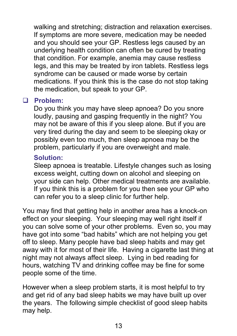walking and stretching; distraction and relaxation exercises. If symptoms are more severe, medication may be needed and you should see your GP. Restless legs caused by an underlying health condition can often be cured by treating that condition. For example, anemia may cause restless legs, and this may be treated by iron tablets. Restless legs syndrome can be caused or made worse by certain medications. If you think this is the case do not stop taking the medication, but speak to your GP.

#### **Problem:**

Do you think you may have sleep apnoea? Do you snore loudly, pausing and gasping frequently in the night? You may not be aware of this if you sleep alone. But if you are very tired during the day and seem to be sleeping okay or possibly even too much, then sleep apnoea may be the problem, particularly if you are overweight and male.

#### **Solution:**

Sleep apnoea is treatable. Lifestyle changes such as losing excess weight, cutting down on alcohol and sleeping on your side can help. Other medical treatments are available. If you think this is a problem for you then see your GP who can refer you to a sleep clinic for further help.

You may find that getting help in another area has a knock-on effect on your sleeping. Your sleeping may well right itself if you can solve some of your other problems. Even so, you may have got into some "bad habits" which are not helping you get off to sleep. Many people have bad sleep habits and may get away with it for most of their life. Having a cigarette last thing at night may not always affect sleep. Lying in bed reading for hours, watching TV and drinking coffee may be fine for some people some of the time.

However when a sleep problem starts, it is most helpful to try and get rid of any bad sleep habits we may have built up over the years. The following simple checklist of good sleep habits may help.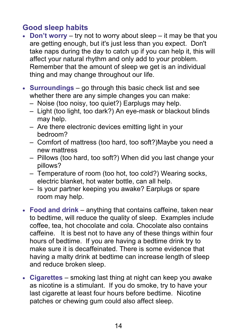### **Good sleep habits**

- **Don't worry** try not to worry about sleep it may be that you are getting enough, but it's just less than you expect. Don't take naps during the day to catch up if you can help it, this will affect your natural rhythm and only add to your problem. Remember that the amount of sleep we get is an individual thing and may change throughout our life.
- **Surroundings** go through this basic check list and see whether there are any simple changes you can make:
	- Noise (too noisy, too quiet?) Earplugs may help.
	- Light (too light, too dark?) An eye-mask or blackout blinds may help.
	- Are there electronic devices emitting light in your bedroom?
	- Comfort of mattress (too hard, too soft?)Maybe you need a new mattress
	- Pillows (too hard, too soft?) When did you last change your pillows?
	- Temperature of room (too hot, too cold?) Wearing socks, electric blanket, hot water bottle, can all help.
	- Is your partner keeping you awake? Earplugs or spare room may help.
- **Food and drink**  anything that contains caffeine, taken near to bedtime, will reduce the quality of sleep. Examples include coffee, tea, hot chocolate and cola. Chocolate also contains caffeine. It is best not to have any of these things within four hours of bedtime. If you are having a bedtime drink try to make sure it is decaffeinated. There is some evidence that having a malty drink at bedtime can increase length of sleep and reduce broken sleep.
- **Cigarettes**  smoking last thing at night can keep you awake as nicotine is a stimulant. If you do smoke, try to have your last cigarette at least four hours before bedtime. Nicotine patches or chewing gum could also affect sleep.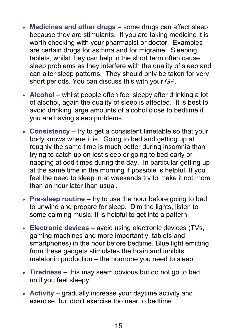- **Medicines and other drugs** some drugs can affect sleep because they are stimulants. If you are taking medicine it is worth checking with your pharmacist or doctor. Examples are certain drugs for asthma and for migraine. Sleeping tablets, whilst they can help in the short term often cause sleep problems as they interfere with the quality of sleep and can alter sleep patterns. They should only be taken for very short periods. You can discuss this with your GP.
- **Alcohol** whilst people often feel sleepy after drinking a lot of alcohol, again the quality of sleep is affected. It is best to avoid drinking large amounts of alcohol close to bedtime if you are having sleep problems.
- **Consistency**  try to get a consistent timetable so that your body knows where it is. Going to bed and getting up at roughly the same time is much better during insomnia than trying to catch up on lost sleep or going to bed early or napping at odd times during the day. In particular getting up at the same time in the morning if possible is helpful. If you feel the need to sleep in at weekends try to make it not more than an hour later than usual.
- **Pre-sleep routine** try to use the hour before going to bed to unwind and prepare for sleep. Dim the lights, listen to some calming music. It is helpful to get into a pattern.
- **Electronic devices**  avoid using electronic devices (TVs, gaming machines and more importantly, tablets and smartphones) in the hour before bedtime. Blue light emitting from these gadgets stimulates the brain and inhibits melatonin production – the hormone you need to sleep.
- **Tiredness** this may seem obvious but do not go to bed until you feel sleepy.
- **Activity**  gradually increase your daytime activity and exercise, but don't exercise too near to bedtime.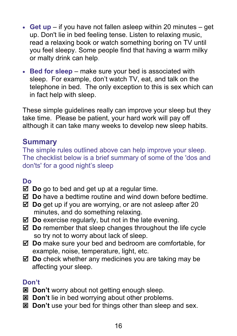- **Get up** if you have not fallen asleep within 20 minutes get up. Don't lie in bed feeling tense. Listen to relaxing music, read a relaxing book or watch something boring on TV until you feel sleepy. Some people find that having a warm milky or malty drink can help.
- **Bed for sleep** make sure your bed is associated with sleep. For example, don't watch TV, eat, and talk on the telephone in bed. The only exception to this is sex which can in fact help with sleep.

These simple guidelines really can improve your sleep but they take time. Please be patient, your hard work will pay off although it can take many weeks to develop new sleep habits.

#### **Summary**

The simple rules outlined above can help improve your sleep. The checklist below is a brief summary of some of the 'dos and don'ts' for a good night's sleep

#### **Do**

- **Do** go to bed and get up at a regular time.
- **Do** have a bedtime routine and wind down before bedtime.
- **Do** get up if you are worrying, or are not asleep after 20 minutes, and do something relaxing.
- **Do** exercise regularly, but not in the late evening.
- **Do** remember that sleep changes throughout the life cycle so try not to worry about lack of sleep.
- **Do** make sure your bed and bedroom are comfortable, for example, noise, temperature, light, etc.
- **Do** check whether any medicines you are taking may be affecting your sleep.

#### **Don't**

- $\boxtimes$  Don't worry about not getting enough sleep.
- **E** Don't lie in bed worrying about other problems.
- **EX Don't** use your bed for things other than sleep and sex.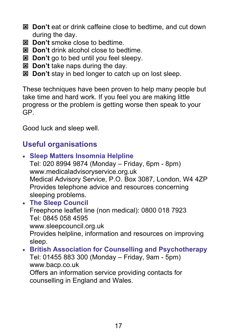- **Don't** eat or drink caffeine close to bedtime, and cut down during the day.
- **EX** Don't smoke close to bedtime.
- $\mathbb{E}$  Don't drink alcohol close to bedtime.
- $\boxtimes$  Don't go to bed until you feel sleepy.
- **E** Don't take naps during the day.
- **EX Don't** stay in bed longer to catch up on lost sleep.

These techniques have been proven to help many people but take time and hard work. If you feel you are making little progress or the problem is getting worse then speak to your GP.

Good luck and sleep well.

## **Useful organisations**

 **Sleep Matters Insomnia Helpline**  Tel: 020 8994 9874 (Monday – Friday, 6pm - 8pm) www.medicaladvisoryservice.org.uk Medical Advisory Service, P.O. Box 3087, London, W4 4ZP Provides telephone advice and resources concerning sleeping problems. **The Sleep Council**  Freephone leaflet line (non medical): 0800 018 7923 Tel: 0845 058 4595 www.sleepcouncil.org.uk Provides helpline, information and resources on improving sleep. **British Association for Counselling and Psychotherapy**  Tel: 01455 883 300 (Monday – Friday, 9am - 5pm)

www.bacp.co.uk Offers an information service providing contacts for counselling in England and Wales.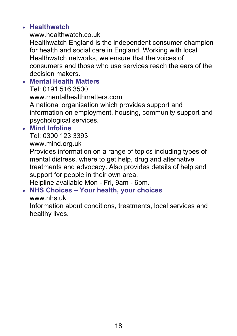#### **Healthwatch**

www.healthwatch.co.uk Healthwatch England is the independent consumer champion for health and social care in England. Working with local Healthwatch networks, we ensure that the voices of consumers and those who use services reach the ears of the decision makers.

 **Mental Health Matters**  Tel: 0191 516 3500 www.mentalhealthmatters.com A national organisation which provides support and information on employment, housing, community support and psychological services.

#### **Mind Infoline**

Tel: 0300 123 3393

www.mind.org.uk

Provides information on a range of topics including types of mental distress, where to get help, drug and alternative treatments and advocacy. Also provides details of help and support for people in their own area.

Helpline available Mon - Fri, 9am - 6pm.

#### **NHS Choices – Your health, your choices**

www.nhs.uk

Information about conditions, treatments, local services and healthy lives.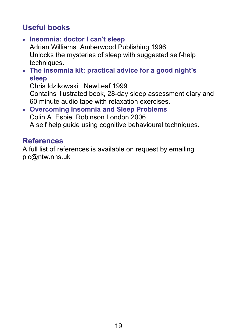## **Useful books**

- **Insomnia: doctor I can't sleep**  Adrian Williams Amberwood Publishing 1996 Unlocks the mysteries of sleep with suggested self-help techniques.
- **The insomnia kit: practical advice for a good night's sleep**

Chris Idzikowski NewLeaf 1999 Contains illustrated book, 28-day sleep assessment diary and 60 minute audio tape with relaxation exercises.

 **Overcoming Insomnia and Sleep Problems**  Colin A. Espie Robinson London 2006 A self help guide using cognitive behavioural techniques.

### **References**

A full list of references is available on request by emailing pic@ntw.nhs.uk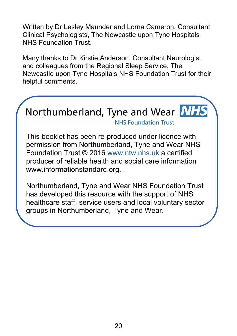Written by Dr Lesley Maunder and Lorna Cameron, Consultant Clinical Psychologists, The Newcastle upon Tyne Hospitals NHS Foundation Trust.

Many thanks to Dr Kirstie Anderson, Consultant Neurologist, and colleagues from the Regional Sleep Service, The Newcastle upon Tyne Hospitals NHS Foundation Trust for their helpful comments.



This booklet has been re-produced under licence with permission from Northumberland, Tyne and Wear NHS Foundation Trust © 2016 www.ntw.nhs.uk a certified producer of reliable health and social care information www.informationstandard.org.

Northumberland, Tyne and Wear NHS Foundation Trust has developed this resource with the support of NHS healthcare staff, service users and local voluntary sector groups in Northumberland, Tyne and Wear.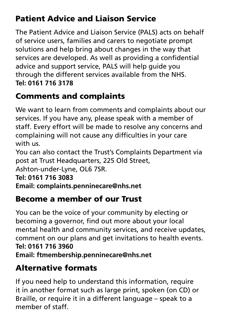## Patient Advice and Liaison Service

The Patient Advice and Liaison Service (PALS) acts on behalf of service users, families and carers to negotiate prompt solutions and help bring about changes in the way that services are developed. As well as providing a confidential advice and support service, PALS will help guide you through the different services available from the NHS. **Tel: 0161 716 3178**

## Comments and complaints

We want to learn from comments and complaints about our services. If you have any, please speak with a member of staff. Every effort will be made to resolve any concerns and complaining will not cause any difficulties in your care with us.

You can also contact the Trust's Complaints Department via post at Trust Headquarters, 225 Old Street,

Ashton-under-Lyne, OL6 7SR.

**Tel: 0161 716 3083**

**Email: complaints.penninecare@nhs.net**

## Become a member of our Trust

You can be the voice of your community by electing or becoming a governor, find out more about your local mental health and community services, and receive updates, comment on our plans and get invitations to health events. **Tel: 0161 716 3960 Email: ftmembership.penninecare@nhs.net**

## Alternative formats

If you need help to understand this information, require it in another format such as large print, spoken (on CD) or Braille, or require it in a different language – speak to a member of staff